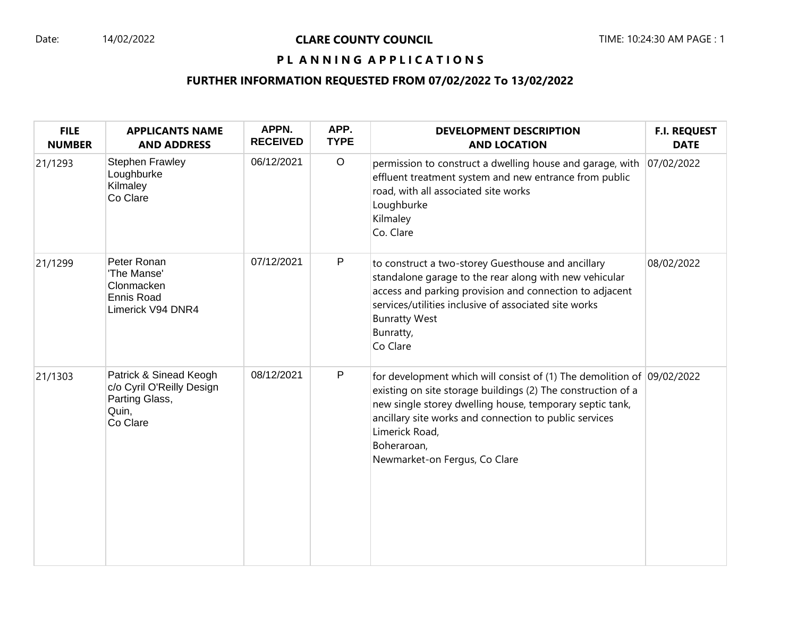#### Date: 14/02/2022 **CLARE COUNTY COUNCIL** TIME: 10:24:30 AM PAGE : 1

# PL ANNING APPLICATIONS

## **FURTHER INFORMATION REQUESTED FROM 07/02/2022 To 13/02/2022**

| <b>FILE</b><br><b>NUMBER</b> | <b>APPLICANTS NAME</b><br><b>AND ADDRESS</b>                                               | APPN.<br><b>RECEIVED</b> | APP.<br><b>TYPE</b> | <b>DEVELOPMENT DESCRIPTION</b><br><b>AND LOCATION</b>                                                                                                                                                                                                                                                                              | <b>F.I. REQUEST</b><br><b>DATE</b> |
|------------------------------|--------------------------------------------------------------------------------------------|--------------------------|---------------------|------------------------------------------------------------------------------------------------------------------------------------------------------------------------------------------------------------------------------------------------------------------------------------------------------------------------------------|------------------------------------|
| 21/1293                      | <b>Stephen Frawley</b><br>Loughburke<br>Kilmaley<br>Co Clare                               | 06/12/2021               | $\circ$             | permission to construct a dwelling house and garage, with 07/02/2022<br>effluent treatment system and new entrance from public<br>road, with all associated site works<br>Loughburke<br>Kilmaley<br>Co. Clare                                                                                                                      |                                    |
| 21/1299                      | Peter Ronan<br>'The Manse'<br>Clonmacken<br><b>Ennis Road</b><br>Limerick V94 DNR4         | 07/12/2021               | $\mathsf P$         | to construct a two-storey Guesthouse and ancillary<br>standalone garage to the rear along with new vehicular<br>access and parking provision and connection to adjacent<br>services/utilities inclusive of associated site works<br><b>Bunratty West</b><br>Bunratty,<br>Co Clare                                                  | 08/02/2022                         |
| 21/1303                      | Patrick & Sinead Keogh<br>c/o Cyril O'Reilly Design<br>Parting Glass,<br>Quin,<br>Co Clare | 08/12/2021               | P                   | for development which will consist of (1) The demolition of $ 09/02/2022 $<br>existing on site storage buildings (2) The construction of a<br>new single storey dwelling house, temporary septic tank,<br>ancillary site works and connection to public services<br>Limerick Road,<br>Boheraroan,<br>Newmarket-on Fergus, Co Clare |                                    |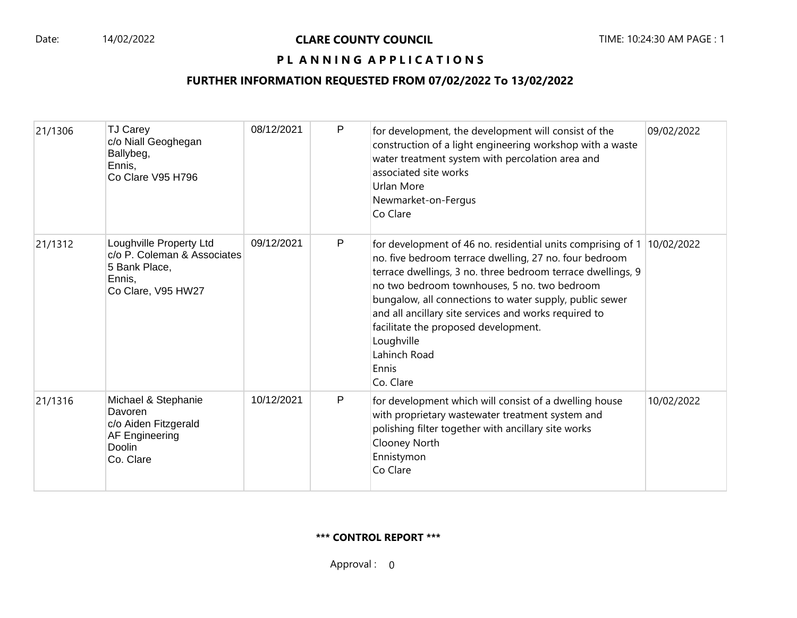# PL ANNING APPLICATIONS

# **FURTHER INFORMATION REQUESTED FROM 07/02/2022 To 13/02/2022**

| 21/1306 | TJ Carey<br>c/o Niall Geoghegan<br>Ballybeg,<br>Ennis,<br>Co Clare V95 H796                             | 08/12/2021 | P | for development, the development will consist of the<br>construction of a light engineering workshop with a waste<br>water treatment system with percolation area and<br>associated site works<br>Urlan More<br>Newmarket-on-Fergus<br>Co Clare                                                                                                                                                                                                      | 09/02/2022 |
|---------|---------------------------------------------------------------------------------------------------------|------------|---|------------------------------------------------------------------------------------------------------------------------------------------------------------------------------------------------------------------------------------------------------------------------------------------------------------------------------------------------------------------------------------------------------------------------------------------------------|------------|
| 21/1312 | Loughville Property Ltd<br>c/o P. Coleman & Associates<br>5 Bank Place,<br>Ennis,<br>Co Clare, V95 HW27 | 09/12/2021 | P | for development of 46 no. residential units comprising of 1<br>no. five bedroom terrace dwelling, 27 no. four bedroom<br>terrace dwellings, 3 no. three bedroom terrace dwellings, 9<br>no two bedroom townhouses, 5 no. two bedroom<br>bungalow, all connections to water supply, public sewer<br>and all ancillary site services and works required to<br>facilitate the proposed development.<br>Loughville<br>Lahinch Road<br>Ennis<br>Co. Clare | 10/02/2022 |
| 21/1316 | Michael & Stephanie<br>Davoren<br>c/o Aiden Fitzgerald<br><b>AF Engineering</b><br>Doolin<br>Co. Clare  | 10/12/2021 | P | for development which will consist of a dwelling house<br>with proprietary wastewater treatment system and<br>polishing filter together with ancillary site works<br>Clooney North<br>Ennistymon<br>Co Clare                                                                                                                                                                                                                                         | 10/02/2022 |

#### **\*\*\* CONTROL REPORT \*\*\***